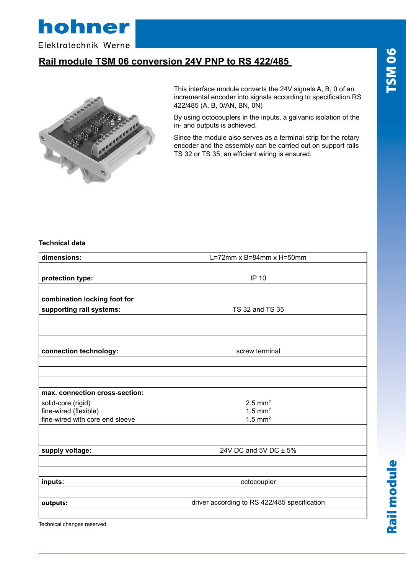hohner

Elektrotechnik Werne

### **Rail module TSM 06 conversion 24V PNP to RS 422/485**



This interface module converts the 24V signals A, B, 0 of an incremental encoder into signals according to specification RS 422/485 (A, B, 0/AN, BN, 0N)

By using octocouplers in the inputs, a galvanic isolation of the in- and outputs is achieved.

Since the module also serves as a terminal strip for the rotary encoder and the assembly can be carried out on support rails TS 32 or TS 35, an efficient wiring is ensured.

#### **Technical data**

| dimensions:                                              | L=72mm $x$ B=84mm $x$ H=50mm                 |
|----------------------------------------------------------|----------------------------------------------|
|                                                          |                                              |
| protection type:                                         | IP 10                                        |
|                                                          |                                              |
| combination locking foot for                             |                                              |
| supporting rail systems:                                 | TS 32 and TS 35                              |
|                                                          |                                              |
| connection technology:                                   | screw terminal                               |
|                                                          |                                              |
|                                                          |                                              |
| max. connection cross-section:                           |                                              |
| solid-core (rigid)                                       | $2.5$ mm <sup>2</sup>                        |
| fine-wired (flexible)<br>fine-wired with core end sleeve | $1.5$ mm <sup>2</sup>                        |
|                                                          | $1.5$ mm <sup>2</sup>                        |
| supply voltage:                                          | 24V DC and 5V DC ± 5%                        |
|                                                          |                                              |
| inputs:                                                  | octocoupler                                  |
| outputs:                                                 | driver according to RS 422/485 specification |
|                                                          |                                              |

Technical changes reserved